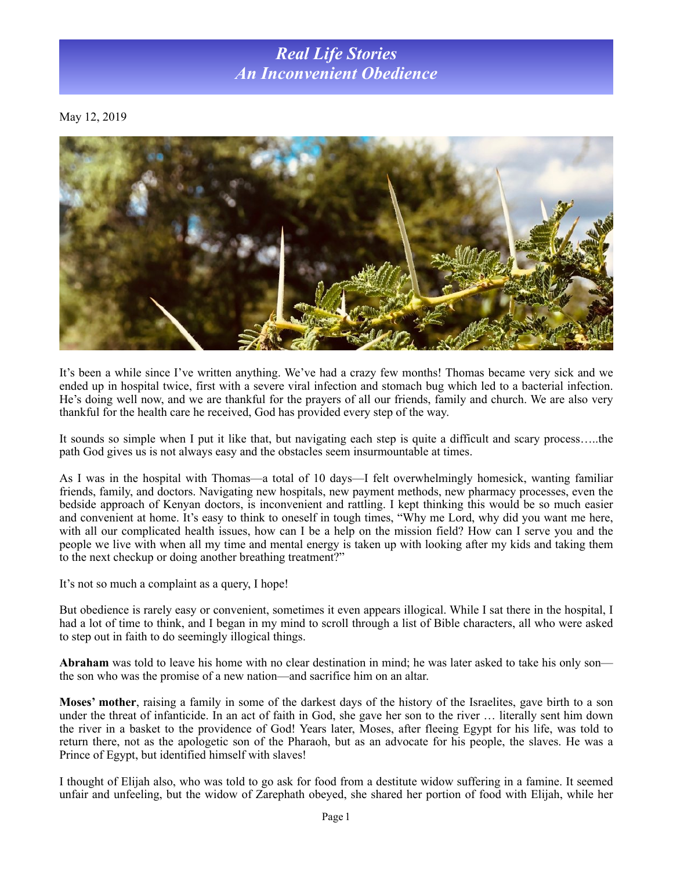## *Real Life Stories An Inconvenient Obedience*

May 12, 2019



It's been a while since I've written anything. We've had a crazy few months! Thomas became very sick and we ended up in hospital twice, first with a severe viral infection and stomach bug which led to a bacterial infection. He's doing well now, and we are thankful for the prayers of all our friends, family and church. We are also very thankful for the health care he received, God has provided every step of the way.

It sounds so simple when I put it like that, but navigating each step is quite a difficult and scary process…..the path God gives us is not always easy and the obstacles seem insurmountable at times.

As I was in the hospital with Thomas—a total of 10 days—I felt overwhelmingly homesick, wanting familiar friends, family, and doctors. Navigating new hospitals, new payment methods, new pharmacy processes, even the bedside approach of Kenyan doctors, is inconvenient and rattling. I kept thinking this would be so much easier and convenient at home. It's easy to think to oneself in tough times, "Why me Lord, why did you want me here, with all our complicated health issues, how can I be a help on the mission field? How can I serve you and the people we live with when all my time and mental energy is taken up with looking after my kids and taking them to the next checkup or doing another breathing treatment?"

It's not so much a complaint as a query, I hope!

But obedience is rarely easy or convenient, sometimes it even appears illogical. While I sat there in the hospital, I had a lot of time to think, and I began in my mind to scroll through a list of Bible characters, all who were asked to step out in faith to do seemingly illogical things.

**Abraham** was told to leave his home with no clear destination in mind; he was later asked to take his only son the son who was the promise of a new nation—and sacrifice him on an altar.

**Moses' mother**, raising a family in some of the darkest days of the history of the Israelites, gave birth to a son under the threat of infanticide. In an act of faith in God, she gave her son to the river … literally sent him down the river in a basket to the providence of God! Years later, Moses, after fleeing Egypt for his life, was told to return there, not as the apologetic son of the Pharaoh, but as an advocate for his people, the slaves. He was a Prince of Egypt, but identified himself with slaves!

I thought of Elijah also, who was told to go ask for food from a destitute widow suffering in a famine. It seemed unfair and unfeeling, but the widow of Zarephath obeyed, she shared her portion of food with Elijah, while her